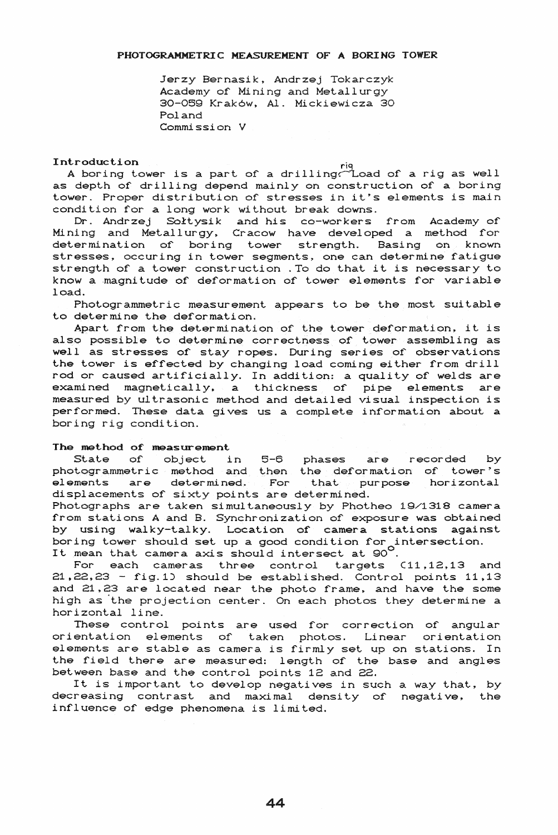Jerzy Bernasik, Andrzej Tokarczyk Academy of Mining and Metallurgy 30-059 Krak6w. AI. Mickiewicza 30 Poland Commission V

# **Introduction** rise and the set of the set of the set of the set of the set of the set of the set of the set of the set of the set of the set of the set of the set of the set of the set of the set of the set of the set of

troudction<br>A boring tower is a part of a drilling? Load of a rig as well as depth of drilling depend mainly on construction of a boring tower. Proper distribution of stresses in it's elements is main condition for a long work without break downs.

Dr. Andrzej Sołtysik and his co-workers from Academy of Mining and Metallurgy, Cracow have developed a method for determination of boring tower strength. Basing on known stresses, occuring in tower segments, one can determine fatigue strength of a tower construction . To do that it is necessary to know a magnitude of deformation of tower elements for variable load.

Photogrammetric measurement appears to be the most suitable to determine the deformation.

Apart from the determination of the tower deformation, it is also possible to determine correctness of tower assembling as well as stresses of stay ropes. During series of observations the tower is effected by changing load coming either from drill rod or caused artificially. In addition: a quality of welds are examined magnetically, a thickness of pipe elements are measured by ultrasonic method and detailed visual inspection is performed. These data gives us a complete information about a boring rig condition.

### The method of measurement

State of' object in 5-6 phases are recorded by photogrammetric method and then the deformation of tower's elements are determined. For that purpose horizontal displacements of sixty points are determined.

Photographs are taken simultaneously by Photheo 19/1318 camera £rom stations A and B. Synchronization of' exposure was obtained by using walky-talky. Location of camera stations against boring tower should set up a good condition for intersection. boring tower should set up a good condition for i<br>It mean that camera axis should intersect at 90<sup>0</sup>.

For each cameras three control targets  $C11,12,13$  and 21.22,23 - fig.l) should be established. Control points 11.13 and 21,23 are located near the photo frame, and have the some high as 'the projection center. On each photos they determine a horizontal line.

These control points are used for correction of angular orientation elements of taken photos. Linear orientation elements are stable as camera is firmly set up on stations. In the f'ield there are measured: length of' the base and angles between base and the control points 12 and 22.

It is important to develop negatives in such a way that, by decreasing contrast and maximal density of negative, the influence of edge phenomena is limited.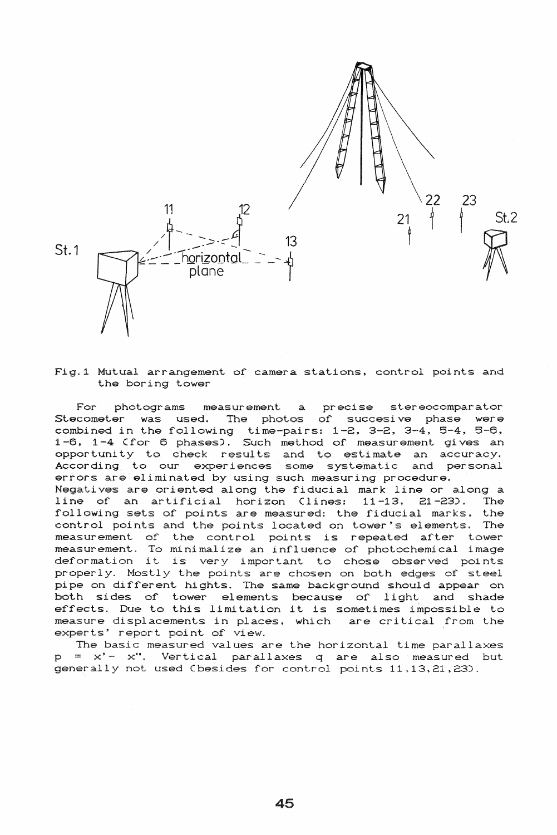

Fig.1 Mutual arrangement of camera stations, control points and the boring tower

photograms measurement a precise stereocomparator For The photos of succesive phase were Stecometer was used. combined in the following time-pairs: 1-2, 3-2, 3-4, 5-4, 5-6, 1-6, 1-4 (for 6 phases). Such method of measurement gives an opportunity to check results and to estimate an accuracy. According to our experiences some systematic and personal errors are eliminated by using such measuring procedure. Negatives are oriented along the fiducial mark line or along a line of an artificial horizon Clines:  $11 - 13$ ,  $21 - 23$ . The following sets of points are measured: the fiducial marks, the control points and the points located on tower's elements. The measurement of the control points is repeated after tower measurement. To minimalize an influence of photochemical image deformation it is very important to chose observed points properly. Mostly the points are chosen on both edges of steel pipe on different hights. The same background should appear on both sides of tower elements because of light and shade effects. Due to this limitation it is sometimes impossible to measure displacements in places, which are critical from the experts' report point of view.

The basic measured values are the horizontal time parallaxes  $p = x' - x''$ . Vertical parallaxes q are also measured but generally not used Cbesides for control points 11,13,21,23).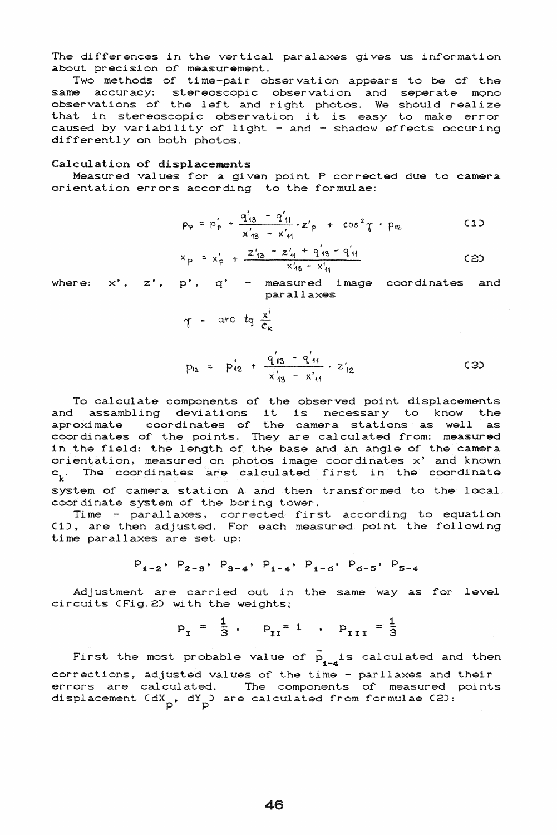The differences in the vertical paralaxes gives us information about precision of measurement.

Two methods of time-pair observation appears to be of the same accuracy: stereoscopic observation and seperate mono observations of the left and right photos. We should realize that in stereoscopic observation it is easy to make error caused by variability of light - and - shadow effects occuring differently on both photos.

#### Calculation of displacements

Measured values for a given point P corrected due to camera orientation errors according to the formulae:

$$
p_p = p'_p + \frac{q'_{13} - q'_{11}}{x'_{13} - x'_{11}} \cdot z'_p + \cos^2 \tau \cdot p_{12}
$$
 (1)

$$
x_p = x'_p + \frac{z'_{13} - z'_{11} + q'_{13} - q'_{11}}{x'_{13} - x'_{11}}
$$
 (2)

where:  $x'$ ,  $z'$ ,  $p'$ ,  $q'$  - measured image coordinates and parallaxes

$$
\gamma = \arctan \frac{x^i}{c_k}
$$

$$
p_{12} = p_{12} + \frac{q_{13}' - q_{11}'}{x_{13}' - x_{11}'} \cdot z_{12}' \qquad (3)
$$

To calculate components of the observed point displacements and assambling deviations it is necessary to know the aproximate coordinates of the camera stations as well as coordinates of the points. They are calculated from: measured in the field: the length of the base and an angle of the camera orientation, measured on photos image coordinates x' and known The coordinates are calculated first in the coordinate  $c_{\mathbf{k}}$ . system of camera station A and then transformed to the local coordinate system of the boring tower.

Time - parallaxes, corrected first according to equation (1), are then adjusted. For each measured point the following time parallaxes are set up:

$$
P_{1-2}
$$
,  $P_{2-3}$ ,  $P_{3-4}$ ,  $P_{1-4}$ ,  $P_{1-6}$ ,  $P_{6-5}$ ,  $P_{5-4}$ 

Adjustment are carried out in the same way as for level circuits (Fig. 2) with the weights;

$$
p_{I} = \frac{1}{3}
$$
,  $p_{II} = 1$ ,  $p_{III} = \frac{1}{3}$ 

First the most probable value of  $\bar{p}_{1-4}$  is calculated and then corrections, adjusted values of the time - parllaxes and their errors are calculated. The components of measured points displacement  $\langle dX_n, dY_n \rangle$  are calculated from formulae (2):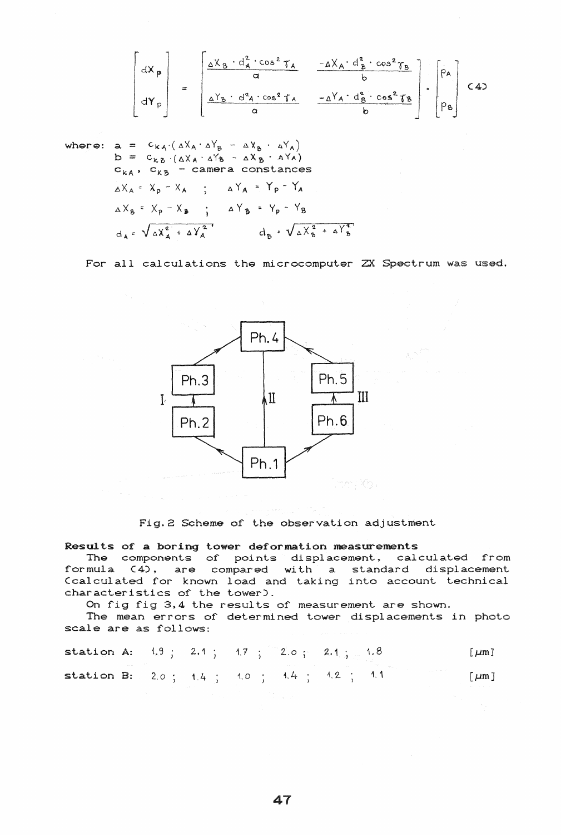$$
\begin{bmatrix}dX_{p} \\ dY_{p} \\ dY_{p}\end{bmatrix} = \begin{bmatrix}\frac{\Delta X_{B} \cdot d_{A}^{2} \cdot \cos^{2} \gamma_{A}}{\alpha} & \frac{-\Delta X_{A} \cdot d_{B}^{2} \cdot \cos^{2} \gamma_{B}}{\delta} \\ \frac{\Delta Y_{B} \cdot d_{A}^{2} \cdot \cos^{2} \gamma_{A}}{\alpha} & \frac{-\Delta Y_{A} \cdot d_{B}^{2} \cdot \cos^{2} \gamma_{B}}{\delta} \end{bmatrix} \cdot \begin{bmatrix} p_{A} \\ p_{B} \end{bmatrix}
$$

where: 
$$
a = c_{kA} \cdot (\Delta X_A \cdot \Delta Y_B - \Delta X_B \cdot \Delta Y_A)
$$
  
\n $b = c_{kB} \cdot (\Delta X_A \cdot \Delta Y_B - \Delta X_B \cdot \Delta Y_A)$   
\n $c_{kA} \cdot c_{kB} -$  camera constants  
\n $\Delta X_A = X_p - X_A$  ;  $\Delta Y_A = Y_p - Y_A$   
\n $\Delta X_B = X_p - X_B$  ;  $\Delta Y_B = Y_p - Y_B$   
\n $d_A = \sqrt{\Delta X_A^2 + \Delta Y_A^2}$   $d_B = \sqrt{\Delta X_B^2 + \Delta Y_B^2}$ 

For all calculations the microcomputer ZX Spectrum was used.



Fig. 2 Scheme of the observation adjustment

# Results of a boring tower deformation measurements

The components of points displacement, calculated from formula  $(4)$ , are compared with a standard displacement Ccalculated for known load and taking into account technical characteristics of the tower).

On fig fig 3,4 the results of measurement are shown.

The mean errors of determined tower displacements in photo scale are as follows:

| station A: $(1.9 \t; 2.1 \t; 1.7 \t; 2.0 \t; 2.1 \t; 2.1 \t; 1.8)$ |  |  |  |  | $\lceil \mu m \rceil$   |
|--------------------------------------------------------------------|--|--|--|--|-------------------------|
| station B: $2.0$ ; $1.4$ ; $1.0$ ; $1.4$ ; $1.4$ ; $1.2$ ; $1.1$   |  |  |  |  | $\lfloor \mu m \rfloor$ |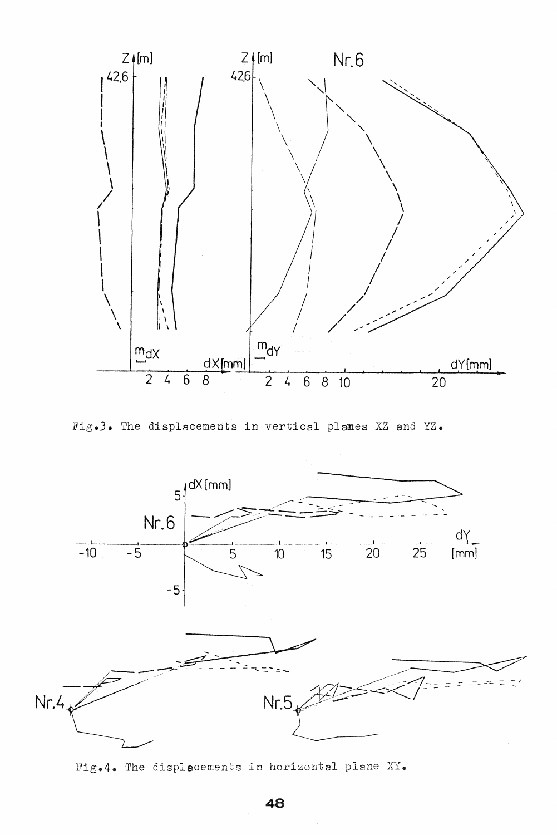

Fig.3. The displacements in vertical planes XZ and YZ.



Fig.4. The displacements in horizontal plane XY.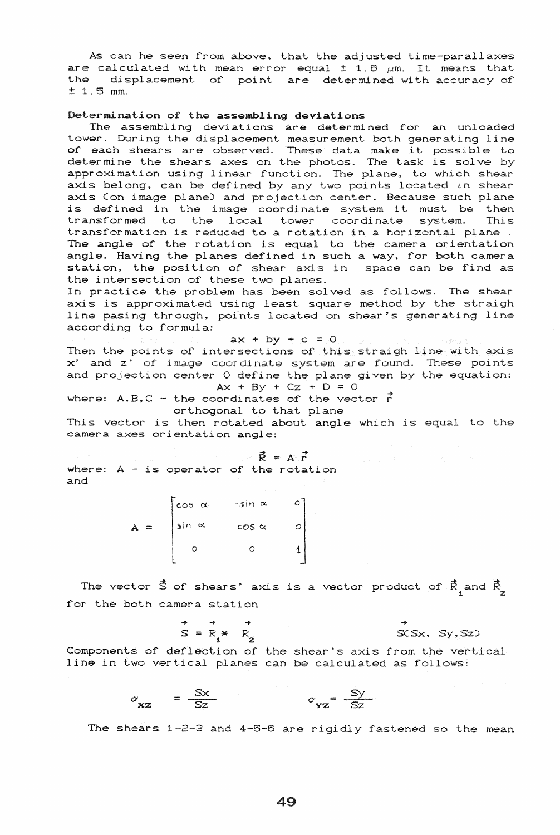As can he seen from above, that the adjusted time-parallaxes are calculated with mean error equal  $\pm$  1.6  $\mu$ m. It means that the displacement of point are determined with accuracy of <sup>±</sup>1.5 mm.

### Determination of the assembling deviations

The assembling deviations are determined for an unloaded tower. During the displacement measurement both generating line of each shears are observed. These data make it possible to of each shears are observed. These data make it possible to approximation using linear function. The plane, to which shear axis belong, can be defined by any two points located  $\iota$ n shear axis Con image plane) and projection center. Because such plane is defined in the image coordinate system it must be then transformed to the local tower coordinate system. This transformation is reduced to a rotation in a horizontal plane . The angle of the rotation is equal to the camera orientation angle. Having the planes defined in such a way, for both camera station, the position of shear axis in space can be find as the intersection of these two planes.

In practice the problem has been solved as follows. The shear axis is approximated using least square method by the straigh line pasing through, points located on shear's generating line according to formula:

$$
\mathbf{a} \times \mathbf{a} \times \mathbf{a} + \mathbf{b} \mathbf{y} + \mathbf{c} = \mathbf{0} \mathbf{0}, \quad \mathbf{a} \times \mathbf{a} \times \mathbf{b} \times \mathbf{c} = \mathbf{0}
$$

Then the points of intersections of this straigh line with axis x' and z' of image coordinate system are found. These points and projection center O define the plane given by the equation:  $Ax + By + Cz + D = 0$ 

where: A, B, C - the coordinates of the vector 
$$
\vec{r}
$$
  
orthogonal to that plane

This vector is then rotated about angle which is equal to the camera axes orientation angle:

$$
\vec{R} = A \vec{r}
$$

where:  $A - i s$  operator of the rotation and

> $\cos \alpha$  -sin  $\alpha$  0  $A = \int \sin \alpha \cos \alpha \cos \alpha$  $\circ$  0 1

The vector  $\vec{S}$  of shears' axis is a vector product of  $\vec{R}_{_{\textstyle 4}}$  and for the both camera station

$$
S = R \times R
$$
  
\n
$$
S = S(X, S), S(Z)
$$

Components of deflection of the shear's axis from the vertical line in two vertical planes can be calculated as follows:

$$
\sigma_{\mathbf{x} \mathbf{z}} = \frac{S \mathbf{x}}{S \mathbf{z}} \qquad \qquad \sigma_{\mathbf{y} \mathbf{z}} = \frac{S \mathbf{y}}{S \mathbf{z}}
$$

The shears  $1-2-3$  and  $4-5-6$  are rigidly fastened so the mean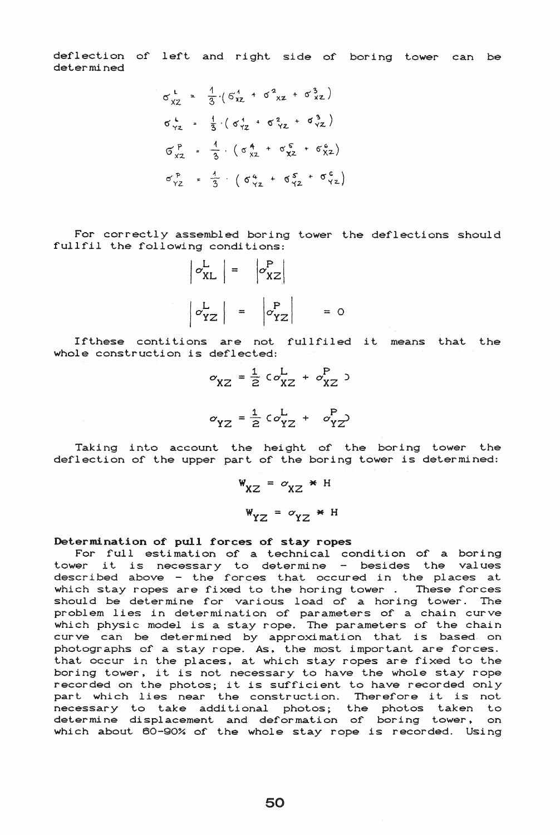deflection of left and right side of boring tower can be determined

$$
\sigma_{XZ}^{L} = \frac{1}{3} \left( 6_{XZ}^{4} + 6_{XZ}^{2} + 6_{XZ}^{3} \right)
$$
  
\n
$$
\sigma_{YZ}^{L} = \frac{1}{3} \left( 6_{XZ}^{4} + 6_{YZ}^{2} + 6_{YZ}^{3} \right)
$$
  
\n
$$
\sigma_{XZ}^{P} = \frac{1}{3} \left( 6_{XZ}^{4} + 6_{XZ}^{5} + 6_{XZ}^{6} \right)
$$
  
\n
$$
\sigma_{YZ}^{P} = \frac{1}{3} \left( 6_{XZ}^{4} + 6_{XZ}^{5} + 6_{YZ}^{6} \right)
$$

For correctly assembled boring tower the deflections should fullfil the following conditions:



If these contitions are not fullfiled it means that the whole construction is deflected:

$$
\sigma_{XZ} = \frac{1}{2} c \sigma_{XZ}^{L} + \sigma_{XZ}^{P}
$$

$$
\sigma_{YZ} = \frac{1}{2} c \sigma_{YZ}^{L} + \sigma_{YZ}^{P}
$$

Taking into account the height of the boring tower the deflection of the upper part of the boring tower is determined:

$$
W_{XZ} = \sigma_{XZ} * H
$$
  

$$
W_{YZ} = \sigma_{YZ} * H
$$

Determination of pull forces of stay ropes

For full estimation of a technical condition of a boring "I I I I I ESTIMATION OF a CECHILICAL CONCLICION OF a DOITING<br>tower it is necessary to determine - besides the values volume is induced in the second medical conduction of the second in the places at which stay ropes are fixed to the horing tower. These forces should be determine for various load of a horing tower. The problem lies in determination of parameters of a chain curve which physic model is a stay rope. The parameters of the chain curve can be determined by approximation that is based on photographs of a stay rope. As, the most important are forces. that occur in the places, at which stay ropes are fixed to the boring tower, it. *is* not necessary to have the whole stay rope recorded on the photos; it is sufficient to have recorded only part which lies near the construction. Therefore it is not necessary to take additional photos; the photos taken to deter mine displacement and deformation of boring tower, on which about 60-90% of the whole stay rope is recorded. Using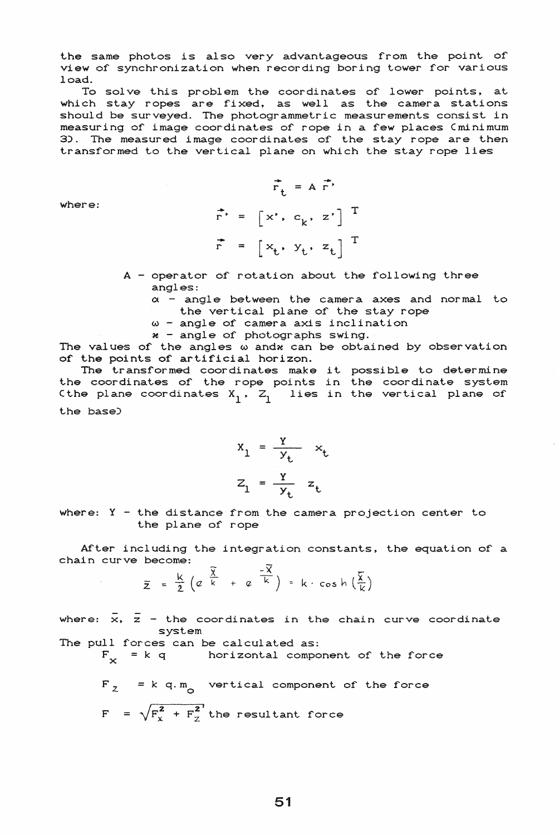the same photos is also very advantageous from the point of view of synchronization when recording boring tower for various load.

To solve this problem the coordinates of lower points, at which stay ropes are fixed, as well as the camera stations should be surveyed. The photogrammetric measurements consist. in measuring of image coordinates of rope in a few places (minimum 3). The measured image coordinates of the stay rope are then transformed to the vertical plane on which the stay rope lies

> $\overrightarrow{r}_{+} = A \overrightarrow{r}$  $\vec{r}$  =  $\begin{bmatrix} x' & c_k & z' \end{bmatrix}$  T  $\vec{r}$  =  $\begin{bmatrix} x_t, & y_t, & z_t \end{bmatrix}^T$

where:

- $A$  operator of rotation about the following three angles:
	- $\alpha$  angle between the camera axes and normal to the vertical plane of the stay rope
	- *w* angle of camera axis inclination
	- $x$  angle of photographs swing.

The values of the angles w andw can be obtained by observation of the points of artificial horizon.

The transformed coordinates make it possible to determine the coordinates of the rope points in the coordinate system (the plane coordinates  $X_1$ ,  $Z_1$  lies in the vertical plane of the base)

$$
x_1 = \frac{y}{y_t} \quad x_t
$$

$$
z_1 = \frac{y}{y_t} \quad z_t
$$

where:  $Y -$  the distance from the camera projection center to the plane or rope

Arter including the integration constants, the equation or a chain curve become:

become:  
\n
$$
\overline{z} = \frac{k}{2} \left( e^{\frac{\overline{X}}{k}} + e^{-\frac{\overline{X}}{k}} \right) = k \cdot \cosh \left( \frac{\overline{X}}{k} \right)
$$

where:  $\bar{x}$ ,  $\bar{z}$  - the coordinates in the chain curve coordinate system

The pull forces can be calculated as:

horizontal component of the force  $F_v = k q$ 

 $= k q.m \nvert q.m \nvert$  vertical component of the force  $F = \sqrt{F_x^2 + F_z^2}$  the resultant force